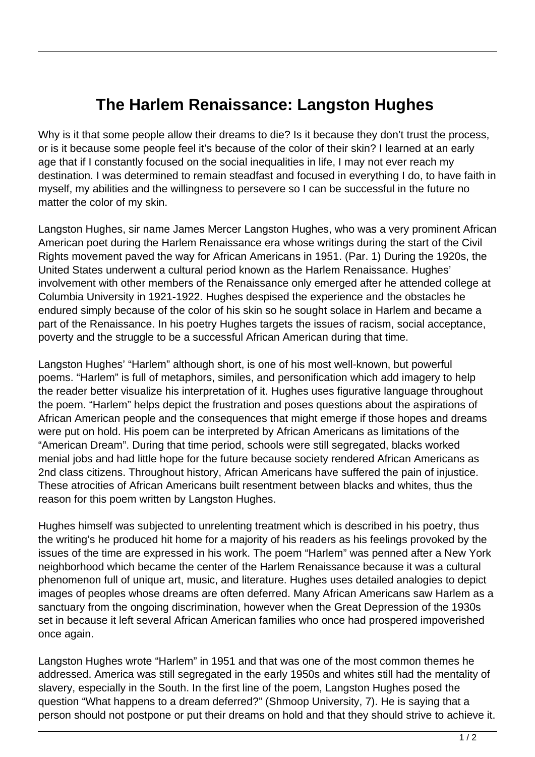## **The Harlem Renaissance: Langston Hughes**

Why is it that some people allow their dreams to die? Is it because they don't trust the process, or is it because some people feel it's because of the color of their skin? I learned at an early age that if I constantly focused on the social inequalities in life, I may not ever reach my destination. I was determined to remain steadfast and focused in everything I do, to have faith in myself, my abilities and the willingness to persevere so I can be successful in the future no matter the color of my skin.

Langston Hughes, sir name James Mercer Langston Hughes, who was a very prominent African American poet during the Harlem Renaissance era whose writings during the start of the Civil Rights movement paved the way for African Americans in 1951. (Par. 1) During the 1920s, the United States underwent a cultural period known as the Harlem Renaissance. Hughes' involvement with other members of the Renaissance only emerged after he attended college at Columbia University in 1921-1922. Hughes despised the experience and the obstacles he endured simply because of the color of his skin so he sought solace in Harlem and became a part of the Renaissance. In his poetry Hughes targets the issues of racism, social acceptance, poverty and the struggle to be a successful African American during that time.

Langston Hughes' "Harlem" although short, is one of his most well-known, but powerful poems. "Harlem" is full of metaphors, similes, and personification which add imagery to help the reader better visualize his interpretation of it. Hughes uses figurative language throughout the poem. "Harlem" helps depict the frustration and poses questions about the aspirations of African American people and the consequences that might emerge if those hopes and dreams were put on hold. His poem can be interpreted by African Americans as limitations of the "American Dream". During that time period, schools were still segregated, blacks worked menial jobs and had little hope for the future because society rendered African Americans as 2nd class citizens. Throughout history, African Americans have suffered the pain of injustice. These atrocities of African Americans built resentment between blacks and whites, thus the reason for this poem written by Langston Hughes.

Hughes himself was subjected to unrelenting treatment which is described in his poetry, thus the writing's he produced hit home for a majority of his readers as his feelings provoked by the issues of the time are expressed in his work. The poem "Harlem" was penned after a New York neighborhood which became the center of the Harlem Renaissance because it was a cultural phenomenon full of unique art, music, and literature. Hughes uses detailed analogies to depict images of peoples whose dreams are often deferred. Many African Americans saw Harlem as a sanctuary from the ongoing discrimination, however when the Great Depression of the 1930s set in because it left several African American families who once had prospered impoverished once again.

Langston Hughes wrote "Harlem" in 1951 and that was one of the most common themes he addressed. America was still segregated in the early 1950s and whites still had the mentality of slavery, especially in the South. In the first line of the poem, Langston Hughes posed the question "What happens to a dream deferred?" (Shmoop University, 7). He is saying that a person should not postpone or put their dreams on hold and that they should strive to achieve it.